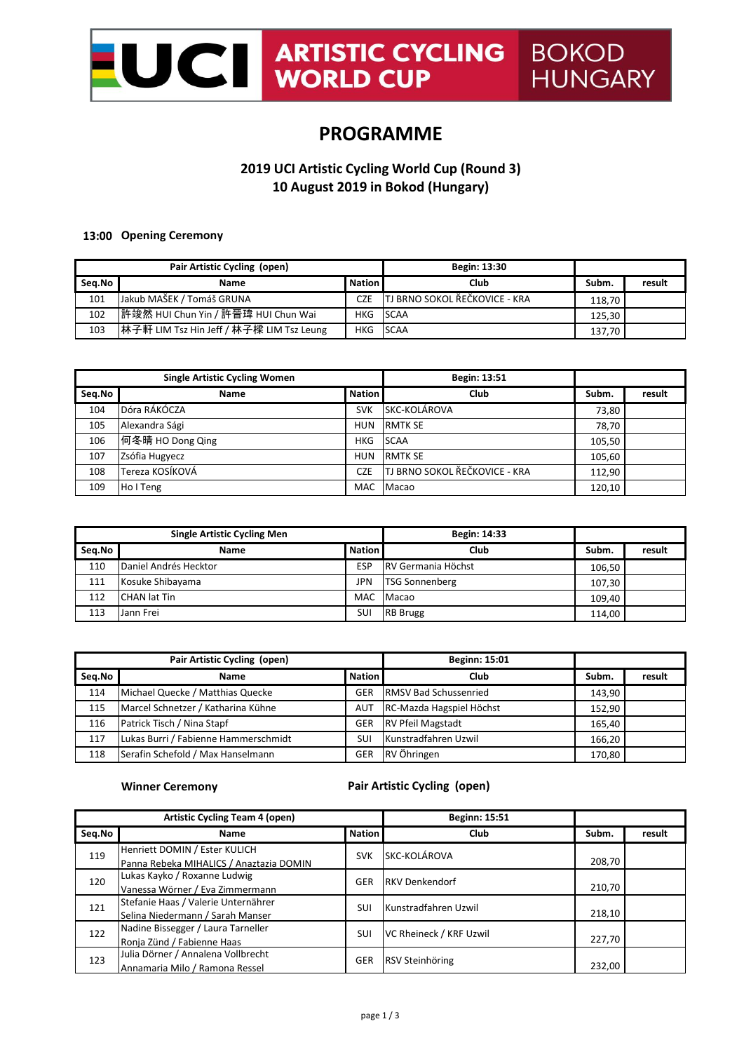

# **PROGRAMME**

## **2019 UCI Artistic Cycling World Cup (Round 3) 10 August 2019 in Bokod (Hungary)**

#### **13:00 Opening Ceremony**

| Pair Artistic Cycling (open) |                                          | Begin: 13:30  |                                      |        |        |
|------------------------------|------------------------------------------|---------------|--------------------------------------|--------|--------|
| Seg.No                       | Name                                     | <b>Nation</b> | Club                                 | Subm.  | result |
| 101                          | Jakub MAŠEK / Tomáš GRUNA                | <b>CZE</b>    | <b>TJ BRNO SOKOL ŘEČKOVICE - KRA</b> | 118.70 |        |
| 102                          | ┃許竣然 HUI Chun Yin / 許晉瑋 HUI Chun Wai     | HKG SCAA      |                                      | 125.30 |        |
| 103                          | 林子軒 LIM Tsz Hin Jeff / 林子樑 LIM Tsz Leung | HKG SCAA      |                                      | 137,70 |        |

| <b>Single Artistic Cycling Women</b> |                  | Begin: 13:51  |                                      |        |        |
|--------------------------------------|------------------|---------------|--------------------------------------|--------|--------|
| Seq.No                               | <b>Name</b>      | <b>Nation</b> | Club                                 | Subm.  | result |
| 104                                  | Dóra RÁKÓCZA     | <b>SVK</b>    | SKC-KOLÁROVA                         | 73,80  |        |
| 105                                  | Alexandra Sági   | <b>HUN</b>    | <b>RMTK SE</b>                       | 78.70  |        |
| 106                                  | 何冬晴 HO Dong Qing | <b>HKG</b>    | <b>SCAA</b>                          | 105.50 |        |
| 107                                  | Zsófia Hugyecz   | <b>HUN</b>    | <b>RMTK SE</b>                       | 105,60 |        |
| 108                                  | Tereza KOSÍKOVÁ  | <b>CZE</b>    | <b>TJ BRNO SOKOL ŘEČKOVICE - KRA</b> | 112.90 |        |
| 109                                  | Ho I Teng        | <b>MAC</b>    | Macao                                | 120,10 |        |

| <b>Single Artistic Cycling Men</b> |                       | Begin: 14:33  |                           |        |        |
|------------------------------------|-----------------------|---------------|---------------------------|--------|--------|
| Seg.No                             | <b>Name</b>           | <b>Nation</b> | Club                      | Subm.  | result |
| 110                                | Daniel Andrés Hecktor | <b>ESP</b>    | <b>RV Germania Höchst</b> | 106.50 |        |
| 111                                | Kosuke Shibayama      | <b>JPN</b>    | <b>TSG Sonnenberg</b>     | 107.30 |        |
| 112                                | <b>CHAN lat Tin</b>   | MAC           | Macao                     | 109,40 |        |
| 113                                | Jann Frei             | SUI           | <b>RB</b> Brugg           | 114,00 |        |

|        | Pair Artistic Cycling (open)         |               | <b>Beginn: 15:01</b>         |        |        |
|--------|--------------------------------------|---------------|------------------------------|--------|--------|
| Seg.No | <b>Name</b>                          | <b>Nation</b> | Club                         | Subm.  | result |
| 114    | Michael Quecke / Matthias Quecke     | <b>GER</b>    | <b>RMSV Bad Schussenried</b> | 143.90 |        |
| 115    | Marcel Schnetzer / Katharina Kühne   | <b>AUT</b>    | RC-Mazda Hagspiel Höchst     | 152.90 |        |
| 116    | Patrick Tisch / Nina Stapf           | <b>GER</b>    | <b>RV Pfeil Magstadt</b>     | 165.40 |        |
| 117    | Lukas Burri / Fabienne Hammerschmidt | SUI           | Kunstradfahren Uzwil         | 166,20 |        |
| 118    | Serafin Schefold / Max Hanselmann    | <b>GER</b>    | RV Öhringen                  | 170,80 |        |

**Winner Ceremony**

### **Pair Artistic Cycling (open)**

| <b>Artistic Cycling Team 4 (open)</b> |                                                                         | <b>Beginn: 15:51</b> |                         |        |        |
|---------------------------------------|-------------------------------------------------------------------------|----------------------|-------------------------|--------|--------|
| Seq.No                                | <b>Name</b>                                                             | <b>Nation</b>        | Club                    | Subm.  | result |
| 119                                   | Henriett DOMIN / Ester KULICH                                           | <b>SVK</b>           | SKC-KOLÁROVA            | 208,70 |        |
|                                       | Panna Rebeka MIHALICS / Anaztazia DOMIN<br>Lukas Kayko / Roxanne Ludwig |                      |                         |        |        |
| 120                                   | Vanessa Wörner / Eva Zimmermann                                         | <b>GER</b>           | <b>RKV Denkendorf</b>   | 210,70 |        |
| 121                                   | Stefanie Haas / Valerie Unternährer                                     | SUI                  | Kunstradfahren Uzwil    |        |        |
|                                       | Selina Niedermann / Sarah Manser                                        |                      |                         | 218,10 |        |
| 122                                   | Nadine Bissegger / Laura Tarneller                                      | SUI                  | VC Rheineck / KRF Uzwil |        |        |
|                                       | Ronja Zünd / Fabienne Haas                                              |                      |                         | 227,70 |        |
| 123                                   | Julia Dörner / Annalena Vollbrecht                                      | <b>GER</b>           | RSV Steinhöring         |        |        |
|                                       | Annamaria Milo / Ramona Ressel                                          |                      |                         | 232,00 |        |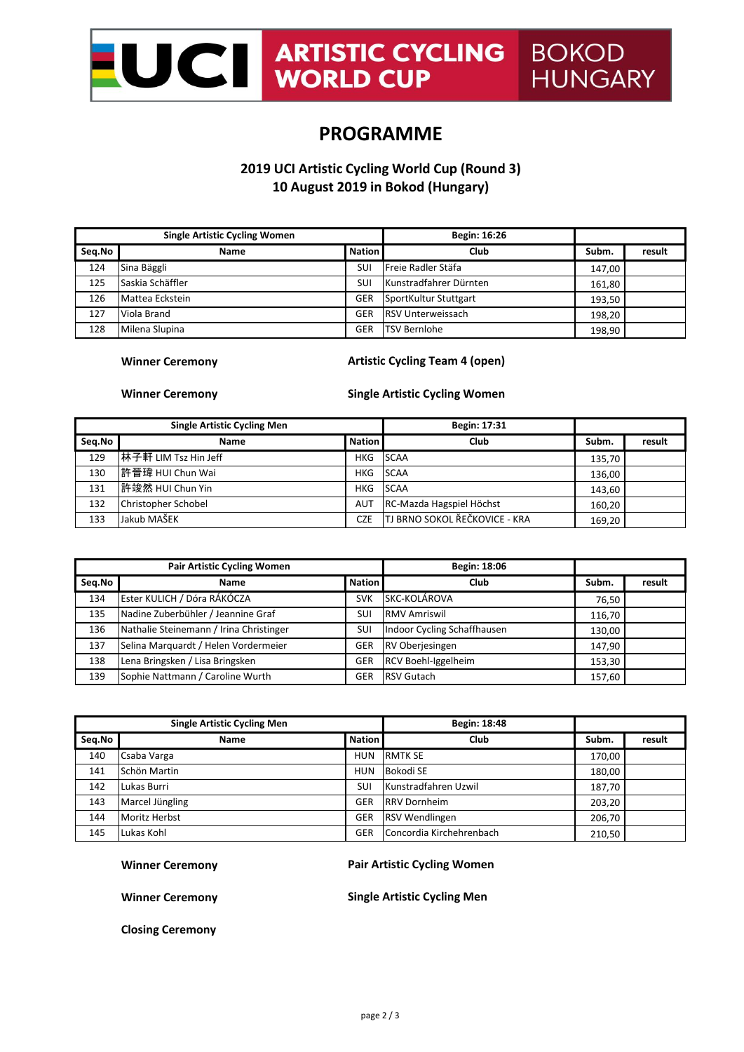

## **PROGRAMME**

### **2019 UCI Artistic Cycling World Cup (Round 3) 10 August 2019 in Bokod (Hungary)**

| <b>Single Artistic Cycling Women</b> |                  | Begin: 16:26  |                          |        |        |
|--------------------------------------|------------------|---------------|--------------------------|--------|--------|
| Seq.No                               | <b>Name</b>      | <b>Nation</b> | Club                     | Subm.  | result |
| 124                                  | Sina Bäggli      | SUI           | Freie Radler Stäfa       | 147.00 |        |
| 125                                  | Saskia Schäffler | SUI           | Kunstradfahrer Dürnten   | 161,80 |        |
| 126                                  | Mattea Eckstein  | <b>GER</b>    | SportKultur Stuttgart    | 193.50 |        |
| 127                                  | Viola Brand      | <b>GER</b>    | <b>RSV Unterweissach</b> | 198.20 |        |
| 128                                  | Milena Slupina   | <b>GER</b>    | <b>TSV Bernlohe</b>      | 198.90 |        |

#### **Winner Ceremony**

### **Artistic Cycling Team 4 (open)**

**Winner Ceremony** 

**Single Artistic Cycling Women**

| <b>Single Artistic Cycling Men</b> |                      | Begin: 17:31  |                                      |        |        |
|------------------------------------|----------------------|---------------|--------------------------------------|--------|--------|
| Seq.No                             | Name                 | <b>Nation</b> | Club                                 | Subm.  | result |
| 129                                | 林子軒 LIM Tsz Hin Jeff | HKG           | <b>SCAA</b>                          | 135.70 |        |
| 130                                | 許晉瑋 HUI Chun Wai     | HKG           | <b>SCAA</b>                          | 136,00 |        |
| 131                                | 許竣然 HUI Chun Yin     | HKG           | <b>SCAA</b>                          | 143.60 |        |
| 132                                | Christopher Schobel  | AUT           | RC-Mazda Hagspiel Höchst             | 160.20 |        |
| 133                                | Jakub MAŠEK          | <b>CZE</b>    | <b>TJ BRNO SOKOL ŘEČKOVICE - KRA</b> | 169,20 |        |

| <b>Pair Artistic Cycling Women</b> |                                         | Begin: 18:06  |                             |        |        |
|------------------------------------|-----------------------------------------|---------------|-----------------------------|--------|--------|
| Seq.No                             | <b>Name</b>                             | <b>Nation</b> | Club                        | Subm.  | result |
| 134                                | Ester KULICH / Dóra RÁKÓCZA             | <b>SVK</b>    | SKC-KOLÁROVA                | 76.50  |        |
| 135                                | Nadine Zuberbühler / Jeannine Graf      | SUI           | <b>RMV Amriswil</b>         | 116.70 |        |
| 136                                | Nathalie Steinemann / Irina Christinger | <b>SUI</b>    | Indoor Cycling Schaffhausen | 130.00 |        |
| 137                                | Selina Marquardt / Helen Vordermeier    | <b>GER</b>    | RV Oberjesingen             | 147.90 |        |
| 138                                | Lena Bringsken / Lisa Bringsken         | <b>GER</b>    | RCV Boehl-Iggelheim         | 153.30 |        |
| 139                                | Sophie Nattmann / Caroline Wurth        | GER           | <b>RSV Gutach</b>           | 157,60 |        |

| <b>Single Artistic Cycling Men</b> |                 | Begin: 18:48  |                          |        |        |
|------------------------------------|-----------------|---------------|--------------------------|--------|--------|
| Seq.No                             | Name            | <b>Nation</b> | Club                     | Subm.  | result |
| 140                                | Csaba Varga     | <b>HUN</b>    | <b>RMTK SE</b>           | 170.00 |        |
| 141                                | Schön Martin    | <b>HUN</b>    | Bokodi SE                | 180,00 |        |
| 142                                | Lukas Burri     | SUI           | Kunstradfahren Uzwil     | 187.70 |        |
| 143                                | Marcel Jüngling | <b>GER</b>    | <b>RRV Dornheim</b>      | 203,20 |        |
| 144                                | Moritz Herbst   | <b>GER</b>    | <b>RSV Wendlingen</b>    | 206.70 |        |
| 145                                | Lukas Kohl      | <b>GER</b>    | Concordia Kirchehrenbach | 210,50 |        |

**Winner Ceremony**

#### **Pair Artistic Cycling Women**

**Winner Ceremony**

**Single Artistic Cycling Men**

**Closing Ceremony**